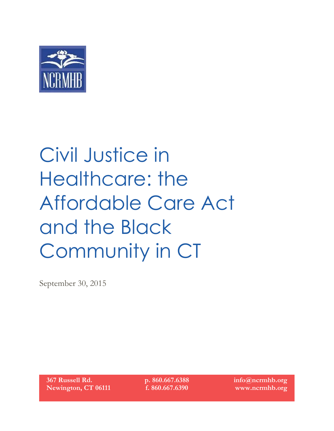

# Civil Justice in Healthcare: the Affordable Care Act and the Black Community in CT

September 30, 2015

**367 Russell Rd. Newington, CT 06111** **p. 860.667.6388 f. 860.667.6390**

**info@ncrmhb.org www.ncrmhb.org**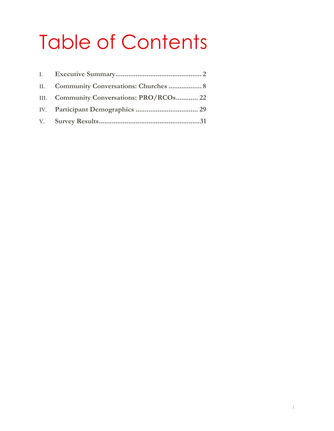# Table of Contents

| II. Community Conversations: Churches  8  |
|-------------------------------------------|
| III. Community Conversations: PRO/RCOs 22 |
|                                           |
|                                           |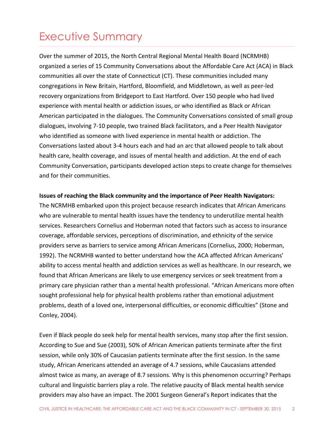### <span id="page-2-0"></span>Executive Summary

Over the summer of 2015, the North Central Regional Mental Health Board (NCRMHB) organized a series of 15 Community Conversations about the Affordable Care Act (ACA) in Black communities all over the state of Connecticut (CT). These communities included many congregations in New Britain, Hartford, Bloomfield, and Middletown, as well as peer-led recovery organizations from Bridgeport to East Hartford. Over 150 people who had lived experience with mental health or addiction issues, or who identified as Black or African American participated in the dialogues. The Community Conversations consisted of small group dialogues, involving 7-10 people, two trained Black facilitators, and a Peer Health Navigator who identified as someone with lived experience in mental health or addiction. The Conversations lasted about 3-4 hours each and had an arc that allowed people to talk about health care, health coverage, and issues of mental health and addiction. At the end of each Community Conversation, participants developed action steps to create change for themselves and for their communities.

#### **Issues of reaching the Black community and the importance of Peer Health Navigators:**

The NCRMHB embarked upon this project because research indicates that African Americans who are vulnerable to mental health issues have the tendency to underutilize mental health services. Researchers Cornelius and Hoberman noted that factors such as access to insurance coverage, affordable services, perceptions of discrimination, and ethnicity of the service providers serve as barriers to service among African Americans (Cornelius, 2000; Hoberman, 1992). The NCRMHB wanted to better understand how the ACA affected African Americans' ability to access mental health and addiction services as well as healthcare. In our research, we found that African Americans are likely to use emergency services or seek treatment from a primary care physician rather than a mental health professional. "African Americans more often sought professional help for physical health problems rather than emotional adjustment problems, death of a loved one, interpersonal difficulties, or economic difficulties" (Stone and Conley, 2004).

Even if Black people do seek help for mental health services, many stop after the first session. According to Sue and Sue (2003), 50% of African American patients terminate after the first session, while only 30% of Caucasian patients terminate after the first session. In the same study, African Americans attended an average of 4.7 sessions, while Caucasians attended almost twice as many, an average of 8.7 sessions. Why is this phenomenon occurring? Perhaps cultural and linguistic barriers play a role. The relative paucity of Black mental health service providers may also have an impact. The 2001 Surgeon General's Report indicates that the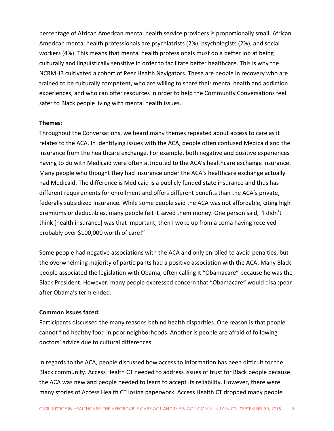percentage of African American mental health service providers is proportionally small. African American mental health professionals are psychiatrists (2%), psychologists (2%), and social workers (4%). This means that mental health professionals must do a better job at being culturally and linguistically sensitive in order to facilitate better healthcare. This is why the NCRMHB cultivated a cohort of Peer Health Navigators. These are people in recovery who are trained to be culturally competent, who are willing to share their mental health and addiction experiences, and who can offer resources in order to help the Community Conversations feel safer to Black people living with mental health issues.

#### **Themes:**

Throughout the Conversations, we heard many themes repeated about access to care as it relates to the ACA. In identifying issues with the ACA, people often confused Medicaid and the insurance from the healthcare exchange. For example, both negative and positive experiences having to do with Medicaid were often attributed to the ACA's healthcare exchange insurance. Many people who thought they had insurance under the ACA's healthcare exchange actually had Medicaid. The difference is Medicaid is a publicly funded state insurance and thus has different requirements for enrollment and offers different benefits than the ACA's private, federally subsidized insurance. While some people said the ACA was not affordable, citing high premiums or deductibles, many people felt it saved them money. One person said, "I didn't think [health insurance] was that important, then I woke up from a coma having received probably over \$100,000 worth of care!"

Some people had negative associations with the ACA and only enrolled to avoid penalties, but the overwhelming majority of participants had a positive association with the ACA. Many Black people associated the legislation with Obama, often calling it "Obamacare" because he was the Black President. However, many people expressed concern that "Obamacare" would disappear after Obama's term ended.

#### **Common issues faced:**

Participants discussed the many reasons behind health disparities. One reason is that people cannot find healthy food in poor neighborhoods. Another is people are afraid of following doctors' advice due to cultural differences.

In regards to the ACA, people discussed how access to information has been difficult for the Black community. Access Health CT needed to address issues of trust for Black people because the ACA was new and people needed to learn to accept its reliability. However, there were many stories of Access Health CT losing paperwork. Access Health CT dropped many people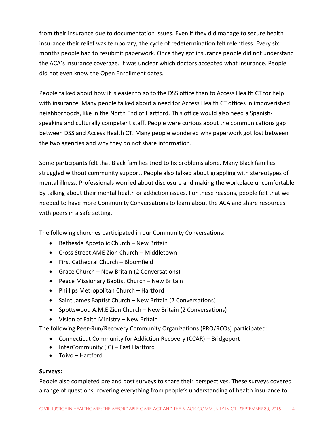from their insurance due to documentation issues. Even if they did manage to secure health insurance their relief was temporary; the cycle of redetermination felt relentless. Every six months people had to resubmit paperwork. Once they got insurance people did not understand the ACA's insurance coverage. It was unclear which doctors accepted what insurance. People did not even know the Open Enrollment dates.

People talked about how it is easier to go to the DSS office than to Access Health CT for help with insurance. Many people talked about a need for Access Health CT offices in impoverished neighborhoods, like in the North End of Hartford. This office would also need a Spanishspeaking and culturally competent staff. People were curious about the communications gap between DSS and Access Health CT. Many people wondered why paperwork got lost between the two agencies and why they do not share information.

Some participants felt that Black families tried to fix problems alone. Many Black families struggled without community support. People also talked about grappling with stereotypes of mental illness. Professionals worried about disclosure and making the workplace uncomfortable by talking about their mental health or addiction issues. For these reasons, people felt that we needed to have more Community Conversations to learn about the ACA and share resources with peers in a safe setting.

The following churches participated in our Community Conversations:

- $\bullet$  Bethesda Apostolic Church New Britain
- Cross Street AME Zion Church Middletown
- First Cathedral Church Bloomfield
- Grace Church New Britain (2 Conversations)
- Peace Missionary Baptist Church New Britain
- Phillips Metropolitan Church Hartford
- Saint James Baptist Church New Britain (2 Conversations)
- Spottswood A.M.E Zion Church New Britain (2 Conversations)
- Vision of Faith Ministry New Britain

The following Peer-Run/Recovery Community Organizations (PRO/RCOs) participated:

- Connecticut Community for Addiction Recovery (CCAR) Bridgeport
- $\bullet$  InterCommunity (IC) East Hartford
- Toivo Hartford

#### **Surveys:**

People also completed pre and post surveys to share their perspectives. These surveys covered a range of questions, covering everything from people's understanding of health insurance to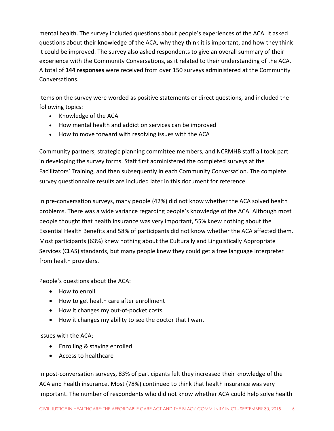mental health. The survey included questions about people's experiences of the ACA. It asked questions about their knowledge of the ACA, why they think it is important, and how they think it could be improved. The survey also asked respondents to give an overall summary of their experience with the Community Conversations, as it related to their understanding of the ACA. A total of **144 responses** were received from over 150 surveys administered at the Community Conversations.

Items on the survey were worded as positive statements or direct questions, and included the following topics:

- Knowledge of the ACA
- How mental health and addiction services can be improved
- How to move forward with resolving issues with the ACA

Community partners, strategic planning committee members, and NCRMHB staff all took part in developing the survey forms. Staff first administered the completed surveys at the Facilitators' Training, and then subsequently in each Community Conversation. The complete survey questionnaire results are included later in this document for reference.

In pre-conversation surveys, many people (42%) did not know whether the ACA solved health problems. There was a wide variance regarding people's knowledge of the ACA. Although most people thought that health insurance was very important, 55% knew nothing about the Essential Health Benefits and 58% of participants did not know whether the ACA affected them. Most participants (63%) knew nothing about the Culturally and Linguistically Appropriate Services (CLAS) standards, but many people knew they could get a free language interpreter from health providers.

People's questions about the ACA:

- How to enroll
- How to get health care after enrollment
- How it changes my out-of-pocket costs
- How it changes my ability to see the doctor that I want

Issues with the ACA:

- Enrolling & staying enrolled
- Access to healthcare

In post-conversation surveys, 83% of participants felt they increased their knowledge of the ACA and health insurance. Most (78%) continued to think that health insurance was very important. The number of respondents who did not know whether ACA could help solve health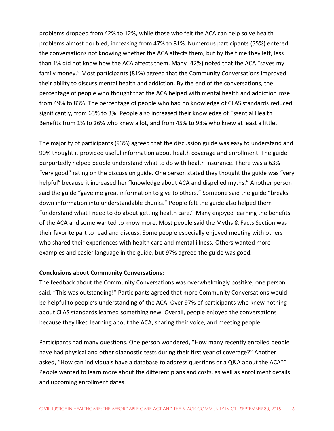problems dropped from 42% to 12%, while those who felt the ACA can help solve health problems almost doubled, increasing from 47% to 81%. Numerous participants (55%) entered the conversations not knowing whether the ACA affects them, but by the time they left, less than 1% did not know how the ACA affects them. Many (42%) noted that the ACA "saves my family money." Most participants (81%) agreed that the Community Conversations improved their ability to discuss mental health and addiction. By the end of the conversations, the percentage of people who thought that the ACA helped with mental health and addiction rose from 49% to 83%. The percentage of people who had no knowledge of CLAS standards reduced significantly, from 63% to 3%. People also increased their knowledge of Essential Health Benefits from 1% to 26% who knew a lot, and from 45% to 98% who knew at least a little.

The majority of participants (93%) agreed that the discussion guide was easy to understand and 90% thought it provided useful information about health coverage and enrollment. The guide purportedly helped people understand what to do with health insurance. There was a 63% "very good" rating on the discussion guide. One person stated they thought the guide was "very helpful" because it increased her "knowledge about ACA and dispelled myths." Another person said the guide "gave me great information to give to others." Someone said the guide "breaks down information into understandable chunks." People felt the guide also helped them "understand what I need to do about getting health care." Many enjoyed learning the benefits of the ACA and some wanted to know more. Most people said the Myths & Facts Section was their favorite part to read and discuss. Some people especially enjoyed meeting with others who shared their experiences with health care and mental illness. Others wanted more examples and easier language in the guide, but 97% agreed the guide was good.

#### **Conclusions about Community Conversations:**

The feedback about the Community Conversations was overwhelmingly positive, one person said, "This was outstanding!" Participants agreed that more Community Conversations would be helpful to people's understanding of the ACA. Over 97% of participants who knew nothing about CLAS standards learned something new. Overall, people enjoyed the conversations because they liked learning about the ACA, sharing their voice, and meeting people.

Participants had many questions. One person wondered, "How many recently enrolled people have had physical and other diagnostic tests during their first year of coverage?" Another asked, "How can individuals have a database to address questions or a Q&A about the ACA?" People wanted to learn more about the different plans and costs, as well as enrollment details and upcoming enrollment dates.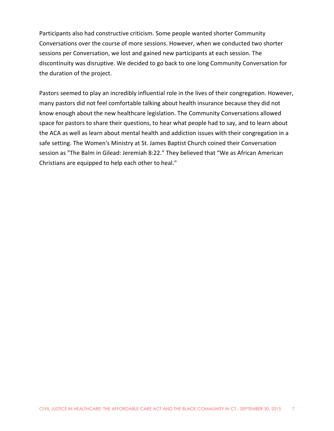Participants also had constructive criticism. Some people wanted shorter Community Conversations over the course of more sessions. However, when we conducted two shorter sessions per Conversation, we lost and gained new participants at each session. The discontinuity was disruptive. We decided to go back to one long Community Conversation for the duration of the project.

Pastors seemed to play an incredibly influential role in the lives of their congregation. However, many pastors did not feel comfortable talking about health insurance because they did not know enough about the new healthcare legislation. The Community Conversations allowed space for pastors to share their questions, to hear what people had to say, and to learn about the ACA as well as learn about mental health and addiction issues with their congregation in a safe setting. The Women's Ministry at St. James Baptist Church coined their Conversation session as "The Balm in Gilead: Jeremiah 8:22." They believed that "We as African American Christians are equipped to help each other to heal."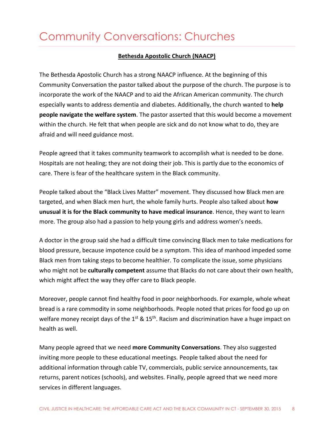### <span id="page-8-0"></span>Community Conversations: Churches

#### **Bethesda Apostolic Church (NAACP)**

The Bethesda Apostolic Church has a strong NAACP influence. At the beginning of this Community Conversation the pastor talked about the purpose of the church. The purpose is to incorporate the work of the NAACP and to aid the African American community. The church especially wants to address dementia and diabetes. Additionally, the church wanted to **help people navigate the welfare system**. The pastor asserted that this would become a movement within the church. He felt that when people are sick and do not know what to do, they are afraid and will need guidance most.

People agreed that it takes community teamwork to accomplish what is needed to be done. Hospitals are not healing; they are not doing their job. This is partly due to the economics of care. There is fear of the healthcare system in the Black community.

People talked about the "Black Lives Matter" movement. They discussed how Black men are targeted, and when Black men hurt, the whole family hurts. People also talked about **how unusual it is for the Black community to have medical insurance**. Hence, they want to learn more. The group also had a passion to help young girls and address women's needs.

A doctor in the group said she had a difficult time convincing Black men to take medications for blood pressure, because impotence could be a symptom. This idea of manhood impeded some Black men from taking steps to become healthier. To complicate the issue, some physicians who might not be **culturally competent** assume that Blacks do not care about their own health, which might affect the way they offer care to Black people.

Moreover, people cannot find healthy food in poor neighborhoods. For example, whole wheat bread is a rare commodity in some neighborhoods. People noted that prices for food go up on welfare money receipt days of the 1<sup>st</sup> & 15<sup>th</sup>. Racism and discrimination have a huge impact on health as well.

Many people agreed that we need **more Community Conversations**. They also suggested inviting more people to these educational meetings. People talked about the need for additional information through cable TV, commercials, public service announcements, tax returns, parent notices (schools), and websites. Finally, people agreed that we need more services in different languages.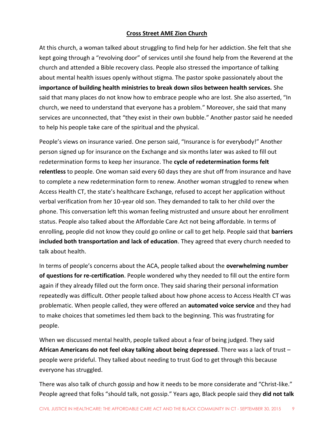#### **Cross Street AME Zion Church**

At this church, a woman talked about struggling to find help for her addiction. She felt that she kept going through a "revolving door" of services until she found help from the Reverend at the church and attended a Bible recovery class. People also stressed the importance of talking about mental health issues openly without stigma. The pastor spoke passionately about the **importance of building health ministries to break down silos between health services.** She said that many places do not know how to embrace people who are lost. She also asserted, "In church, we need to understand that everyone has a problem." Moreover, she said that many services are unconnected, that "they exist in their own bubble." Another pastor said he needed to help his people take care of the spiritual and the physical.

People's views on insurance varied. One person said, "Insurance is for everybody!" Another person signed up for insurance on the Exchange and six months later was asked to fill out redetermination forms to keep her insurance. The **cycle of redetermination forms felt relentless** to people. One woman said every 60 days they are shut off from insurance and have to complete a new redetermination form to renew. Another woman struggled to renew when Access Health CT, the state's healthcare Exchange, refused to accept her application without verbal verification from her 10-year old son. They demanded to talk to her child over the phone. This conversation left this woman feeling mistrusted and unsure about her enrollment status. People also talked about the Affordable Care Act not being affordable. In terms of enrolling, people did not know they could go online or call to get help. People said that **barriers included both transportation and lack of education**. They agreed that every church needed to talk about health.

In terms of people's concerns about the ACA, people talked about the **overwhelming number of questions for re-certification**. People wondered why they needed to fill out the entire form again if they already filled out the form once. They said sharing their personal information repeatedly was difficult. Other people talked about how phone access to Access Health CT was problematic. When people called, they were offered an **automated voice service** and they had to make choices that sometimes led them back to the beginning. This was frustrating for people.

When we discussed mental health, people talked about a fear of being judged. They said **African Americans do not feel okay talking about being depressed**. There was a lack of trust – people were prideful. They talked about needing to trust God to get through this because everyone has struggled.

There was also talk of church gossip and how it needs to be more considerate and "Christ-like." People agreed that folks "should talk, not gossip." Years ago, Black people said they **did not talk**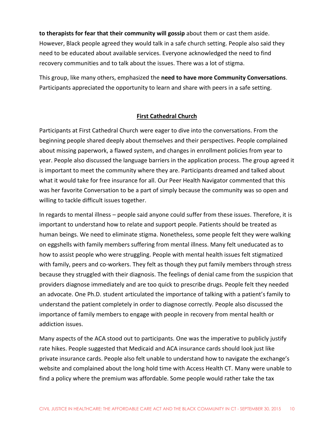**to therapists for fear that their community will gossip** about them or cast them aside. However, Black people agreed they would talk in a safe church setting. People also said they need to be educated about available services. Everyone acknowledged the need to find recovery communities and to talk about the issues. There was a lot of stigma.

This group, like many others, emphasized the **need to have more Community Conversations**. Participants appreciated the opportunity to learn and share with peers in a safe setting.

#### **First Cathedral Church**

Participants at First Cathedral Church were eager to dive into the conversations. From the beginning people shared deeply about themselves and their perspectives. People complained about missing paperwork, a flawed system, and changes in enrollment policies from year to year. People also discussed the language barriers in the application process. The group agreed it is important to meet the community where they are. Participants dreamed and talked about what it would take for free insurance for all. Our Peer Health Navigator commented that this was her favorite Conversation to be a part of simply because the community was so open and willing to tackle difficult issues together.

In regards to mental illness – people said anyone could suffer from these issues. Therefore, it is important to understand how to relate and support people. Patients should be treated as human beings. We need to eliminate stigma. Nonetheless, some people felt they were walking on eggshells with family members suffering from mental illness. Many felt uneducated as to how to assist people who were struggling. People with mental health issues felt stigmatized with family, peers and co-workers. They felt as though they put family members through stress because they struggled with their diagnosis. The feelings of denial came from the suspicion that providers diagnose immediately and are too quick to prescribe drugs. People felt they needed an advocate. One Ph.D. student articulated the importance of talking with a patient's family to understand the patient completely in order to diagnose correctly. People also discussed the importance of family members to engage with people in recovery from mental health or addiction issues.

Many aspects of the ACA stood out to participants. One was the imperative to publicly justify rate hikes. People suggested that Medicaid and ACA insurance cards should look just like private insurance cards. People also felt unable to understand how to navigate the exchange's website and complained about the long hold time with Access Health CT. Many were unable to find a policy where the premium was affordable. Some people would rather take the tax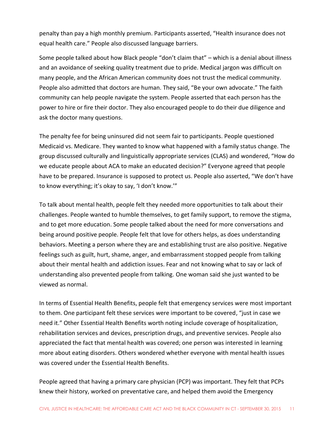penalty than pay a high monthly premium. Participants asserted, "Health insurance does not equal health care." People also discussed language barriers.

Some people talked about how Black people "don't claim that" – which is a denial about illness and an avoidance of seeking quality treatment due to pride. Medical jargon was difficult on many people, and the African American community does not trust the medical community. People also admitted that doctors are human. They said, "Be your own advocate." The faith community can help people navigate the system. People asserted that each person has the power to hire or fire their doctor. They also encouraged people to do their due diligence and ask the doctor many questions.

The penalty fee for being uninsured did not seem fair to participants. People questioned Medicaid vs. Medicare. They wanted to know what happened with a family status change. The group discussed culturally and linguistically appropriate services (CLAS) and wondered, "How do we educate people about ACA to make an educated decision?" Everyone agreed that people have to be prepared. Insurance is supposed to protect us. People also asserted, "We don't have to know everything; it's okay to say, 'I don't know.'"

To talk about mental health, people felt they needed more opportunities to talk about their challenges. People wanted to humble themselves, to get family support, to remove the stigma, and to get more education. Some people talked about the need for more conversations and being around positive people. People felt that love for others helps, as does understanding behaviors. Meeting a person where they are and establishing trust are also positive. Negative feelings such as guilt, hurt, shame, anger, and embarrassment stopped people from talking about their mental health and addiction issues. Fear and not knowing what to say or lack of understanding also prevented people from talking. One woman said she just wanted to be viewed as normal.

In terms of Essential Health Benefits, people felt that emergency services were most important to them. One participant felt these services were important to be covered, "just in case we need it." Other Essential Health Benefits worth noting include coverage of hospitalization, rehabilitation services and devices, prescription drugs, and preventive services. People also appreciated the fact that mental health was covered; one person was interested in learning more about eating disorders. Others wondered whether everyone with mental health issues was covered under the Essential Health Benefits.

People agreed that having a primary care physician (PCP) was important. They felt that PCPs knew their history, worked on preventative care, and helped them avoid the Emergency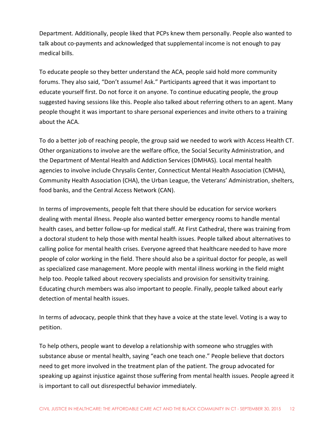Department. Additionally, people liked that PCPs knew them personally. People also wanted to talk about co-payments and acknowledged that supplemental income is not enough to pay medical bills.

To educate people so they better understand the ACA, people said hold more community forums. They also said, "Don't assume! Ask." Participants agreed that it was important to educate yourself first. Do not force it on anyone. To continue educating people, the group suggested having sessions like this. People also talked about referring others to an agent. Many people thought it was important to share personal experiences and invite others to a training about the ACA.

To do a better job of reaching people, the group said we needed to work with Access Health CT. Other organizations to involve are the welfare office, the Social Security Administration, and the Department of Mental Health and Addiction Services (DMHAS). Local mental health agencies to involve include Chrysalis Center, Connecticut Mental Health Association (CMHA), Community Health Association (CHA), the Urban League, the Veterans' Administration, shelters, food banks, and the Central Access Network (CAN).

In terms of improvements, people felt that there should be education for service workers dealing with mental illness. People also wanted better emergency rooms to handle mental health cases, and better follow-up for medical staff. At First Cathedral, there was training from a doctoral student to help those with mental health issues. People talked about alternatives to calling police for mental health crises. Everyone agreed that healthcare needed to have more people of color working in the field. There should also be a spiritual doctor for people, as well as specialized case management. More people with mental illness working in the field might help too. People talked about recovery specialists and provision for sensitivity training. Educating church members was also important to people. Finally, people talked about early detection of mental health issues.

In terms of advocacy, people think that they have a voice at the state level. Voting is a way to petition.

To help others, people want to develop a relationship with someone who struggles with substance abuse or mental health, saying "each one teach one." People believe that doctors need to get more involved in the treatment plan of the patient. The group advocated for speaking up against injustice against those suffering from mental health issues. People agreed it is important to call out disrespectful behavior immediately.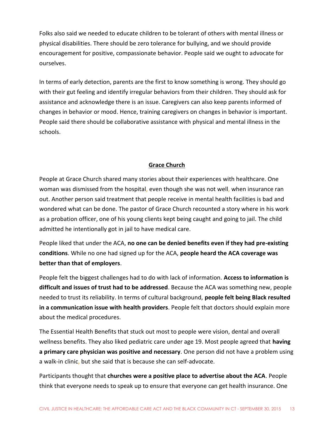Folks also said we needed to educate children to be tolerant of others with mental illness or physical disabilities. There should be zero tolerance for bullying, and we should provide encouragement for positive, compassionate behavior. People said we ought to advocate for ourselves.

In terms of early detection, parents are the first to know something is wrong. They should go with their gut feeling and identify irregular behaviors from their children. They should ask for assistance and acknowledge there is an issue. Caregivers can also keep parents informed of changes in behavior or mood. Hence, training caregivers on changes in behavior is important. People said there should be collaborative assistance with physical and mental illness in the schools.

#### **Grace Church**

People at Grace Church shared many stories about their experiences with healthcare. One woman was dismissed from the hospital, even though she was not well, when insurance ran out. Another person said treatment that people receive in mental health facilities is bad and wondered what can be done. The pastor of Grace Church recounted a story where in his work as a probation officer, one of his young clients kept being caught and going to jail. The child admitted he intentionally got in jail to have medical care.

People liked that under the ACA, **no one can be denied benefits even if they had pre-existing conditions**. While no one had signed up for the ACA, **people heard the ACA coverage was better than that of employers**.

People felt the biggest challenges had to do with lack of information. **Access to information is difficult and issues of trust had to be addressed**. Because the ACA was something new, people needed to trust its reliability. In terms of cultural background, **people felt being Black resulted in a communication issue with health providers**. People felt that doctors should explain more about the medical procedures.

The Essential Health Benefits that stuck out most to people were vision, dental and overall wellness benefits. They also liked pediatric care under age 19. Most people agreed that **having a primary care physician was positive and necessary**. One person did not have a problem using a walk-in clinic, but she said that is because she can self-advocate.

Participants thought that **churches were a positive place to advertise about the ACA**. People think that everyone needs to speak up to ensure that everyone can get health insurance. One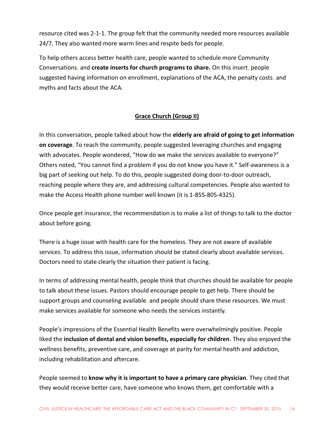resource cited was 2-1-1. The group felt that the community needed more resources available 24/7. They also wanted more warm lines and respite beds for people.

To help others access better health care, people wanted to schedule more Community Conversations, and **create inserts for church programs to share.** On this insert, people suggested having information on enrollment, explanations of the ACA, the penalty costs, and myths and facts about the ACA.

#### **Grace Church (Group II)**

In this conversation, people talked about how the **elderly are afraid of going to get information on coverage**. To reach the community, people suggested leveraging churches and engaging with advocates. People wondered, "How do we make the services available to everyone?" Others noted, "You cannot find a problem if you do not know you have it." Self-awareness is a big part of seeking out help. To do this, people suggested doing door-to-door outreach, reaching people where they are, and addressing cultural competencies. People also wanted to make the Access Health phone number well known (it is 1-855-805-4325).

Once people get insurance, the recommendation is to make a list of things to talk to the doctor about before going.

There is a huge issue with health care for the homeless. They are not aware of available services. To address this issue, information should be stated clearly about available services. Doctors need to state clearly the situation their patient is facing.

In terms of addressing mental health, people think that churches should be available for people to talk about these issues. Pastors should encourage people to get help. There should be support groups and counseling available, and people should share these resources. We must make services available for someone who needs the services instantly.

People's impressions of the Essential Health Benefits were overwhelmingly positive. People liked the **inclusion of dental and vision benefits, especially for children**. They also enjoyed the wellness benefits, preventive care, and coverage at parity for mental health and addiction, including rehabilitation and aftercare.

People seemed to **know why it is important to have a primary care physician**. They cited that they would receive better care, have someone who knows them, get comfortable with a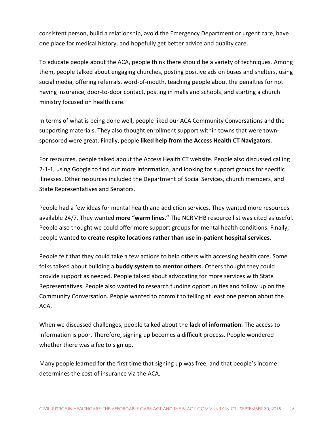consistent person, build a relationship, avoid the Emergency Department or urgent care, have one place for medical history, and hopefully get better advice and quality care.

To educate people about the ACA, people think there should be a variety of techniques. Among them, people talked about engaging churches, posting positive ads on buses and shelters, using social media, offering referrals, word-of-mouth, teaching people about the penalties for not having insurance, door-to-door contact, posting in malls and schools, and starting a church ministry focused on health care.

In terms of what is being done well, people liked our ACA Community Conversations and the supporting materials. They also thought enrollment support within towns that were townsponsored were great. Finally, people **liked help from the Access Health CT Navigators**.

For resources, people talked about the Access Health CT website. People also discussed calling 2-1-1, using Google to find out more information, and looking for support groups for specific illnesses. Other resources included the Department of Social Services, church members, and State Representatives and Senators.

People had a few ideas for mental health and addiction services. They wanted more resources available 24/7. They wanted **more "warm lines."** The NCRMHB resource list was cited as useful. People also thought we could offer more support groups for mental health conditions. Finally, people wanted to **create respite locations rather than use in-patient hospital services**.

People felt that they could take a few actions to help others with accessing health care. Some folks talked about building a **buddy system to mentor others**. Others thought they could provide support as needed. People talked about advocating for more services with State Representatives. People also wanted to research funding opportunities and follow up on the Community Conversation. People wanted to commit to telling at least one person about the ACA.

When we discussed challenges, people talked about the **lack of information**. The access to information is poor. Therefore, signing up becomes a difficult process. People wondered whether there was a fee to sign up.

Many people learned for the first time that signing up was free, and that people's income determines the cost of insurance via the ACA.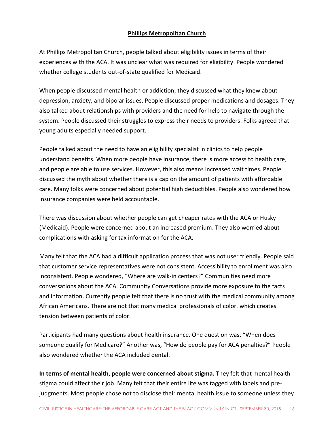#### **Phillips Metropolitan Church**

At Phillips Metropolitan Church, people talked about eligibility issues in terms of their experiences with the ACA. It was unclear what was required for eligibility. People wondered whether college students out-of-state qualified for Medicaid.

When people discussed mental health or addiction, they discussed what they knew about depression, anxiety, and bipolar issues. People discussed proper medications and dosages. They also talked about relationships with providers and the need for help to navigate through the system. People discussed their struggles to express their needs to providers. Folks agreed that young adults especially needed support.

People talked about the need to have an eligibility specialist in clinics to help people understand benefits. When more people have insurance, there is more access to health care, and people are able to use services. However, this also means increased wait times. People discussed the myth about whether there is a cap on the amount of patients with affordable care. Many folks were concerned about potential high deductibles. People also wondered how insurance companies were held accountable.

There was discussion about whether people can get cheaper rates with the ACA or Husky (Medicaid). People were concerned about an increased premium. They also worried about complications with asking for tax information for the ACA.

Many felt that the ACA had a difficult application process that was not user friendly. People said that customer service representatives were not consistent. Accessibility to enrollment was also inconsistent. People wondered, "Where are walk-in centers?" Communities need more conversations about the ACA. Community Conversations provide more exposure to the facts and information. Currently people felt that there is no trust with the medical community among African Americans. There are not that many medical professionals of color, which creates tension between patients of color.

Participants had many questions about health insurance. One question was, "When does someone qualify for Medicare?" Another was, "How do people pay for ACA penalties?" People also wondered whether the ACA included dental.

**In terms of mental health, people were concerned about stigma.** They felt that mental health stigma could affect their job. Many felt that their entire life was tagged with labels and prejudgments. Most people chose not to disclose their mental health issue to someone unless they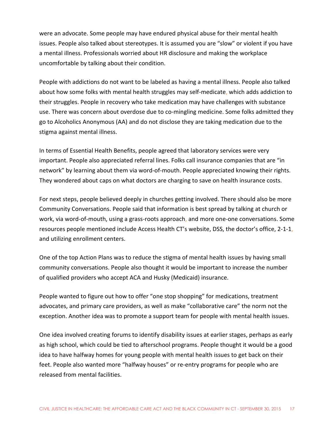were an advocate. Some people may have endured physical abuse for their mental health issues. People also talked about stereotypes. It is assumed you are "slow" or violent if you have a mental illness. Professionals worried about HR disclosure and making the workplace uncomfortable by talking about their condition.

People with addictions do not want to be labeled as having a mental illness. People also talked about how some folks with mental health struggles may self-medicate, which adds addiction to their struggles. People in recovery who take medication may have challenges with substance use. There was concern about overdose due to co-mingling medicine. Some folks admitted they go to Alcoholics Anonymous (AA) and do not disclose they are taking medication due to the stigma against mental illness.

In terms of Essential Health Benefits, people agreed that laboratory services were very important. People also appreciated referral lines. Folks call insurance companies that are "in network" by learning about them via word-of-mouth. People appreciated knowing their rights. They wondered about caps on what doctors are charging to save on health insurance costs.

For next steps, people believed deeply in churches getting involved. There should also be more Community Conversations. People said that information is best spread by talking at church or work, via word-of-mouth, using a grass-roots approach, and more one-one conversations. Some resources people mentioned include Access Health CT's website, DSS, the doctor's office, 2-1-1, and utilizing enrollment centers.

One of the top Action Plans was to reduce the stigma of mental health issues by having small community conversations. People also thought it would be important to increase the number of qualified providers who accept ACA and Husky (Medicaid) insurance.

People wanted to figure out how to offer "one stop shopping" for medications, treatment advocates, and primary care providers, as well as make "collaborative care" the norm not the exception. Another idea was to promote a support team for people with mental health issues.

One idea involved creating forums to identify disability issues at earlier stages, perhaps as early as high school, which could be tied to afterschool programs. People thought it would be a good idea to have halfway homes for young people with mental health issues to get back on their feet. People also wanted more "halfway houses" or re-entry programs for people who are released from mental facilities.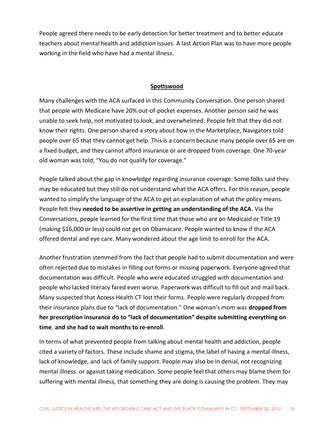People agreed there needs to be early detection for better treatment and to better educate teachers about mental health and addiction issues. A last Action Plan was to have more people working in the field who have had a mental illness.

#### **Spottswood**

Many challenges with the ACA surfaced in this Community Conversation. One person shared that people with Medicare have 20% out-of-pocket expenses. Another person said he was unable to seek help, not motivated to look, and overwhelmed. People felt that they did not know their rights. One person shared a story about how in the Marketplace, Navigators told people over 65 that they cannot get help. This is a concern because many people over 65 are on a fixed budget, and they cannot afford insurance or are dropped from coverage. One 70-year old woman was told, "You do not qualify for coverage."

People talked about the gap in knowledge regarding insurance coverage. Some folks said they may be educated but they still do not understand what the ACA offers. For this reason, people wanted to simplify the language of the ACA to get an explanation of what the policy means. People felt they **needed to be assertive in getting an understanding of the ACA**. Via the Conversations, people learned for the first time that those who are on Medicaid or Title 19 (making \$16,000 or less) could not get on Obamacare. People wanted to know if the ACA offered dental and eye care. Many wondered about the age limit to enroll for the ACA.

Another frustration stemmed from the fact that people had to submit documentation and were often rejected due to mistakes in filling out forms or missing paperwork. Everyone agreed that documentation was difficult. People who were educated struggled with documentation and people who lacked literacy fared even worse. Paperwork was difficult to fill out and mail back. Many suspected that Access Health CT lost their forms. People were regularly dropped from their insurance plans due to "lack of documentation." One woman's mom was **dropped from her prescription insurance do to "lack of documentation" despite submitting everything on time, and she had to wait months to re-enroll**.

In terms of what prevented people from talking about mental health and addiction, people cited a variety of factors. These include shame and stigma, the label of having a mental illness, lack of knowledge, and lack of family support. People may also be in denial, not recognizing mental illness, or against taking medication. Some people feel that others may blame them for suffering with mental illness, that something they are doing is causing the problem. They may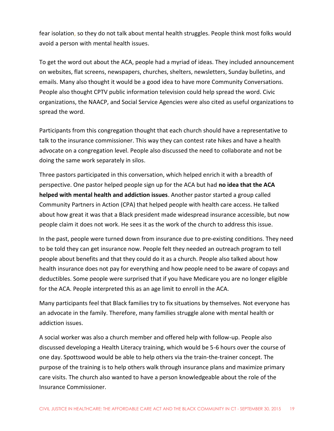fear isolation, so they do not talk about mental health struggles. People think most folks would avoid a person with mental health issues.

To get the word out about the ACA, people had a myriad of ideas. They included announcement on websites, flat screens, newspapers, churches, shelters, newsletters, Sunday bulletins, and emails. Many also thought it would be a good idea to have more Community Conversations. People also thought CPTV public information television could help spread the word. Civic organizations, the NAACP, and Social Service Agencies were also cited as useful organizations to spread the word.

Participants from this congregation thought that each church should have a representative to talk to the insurance commissioner. This way they can contest rate hikes and have a health advocate on a congregation level. People also discussed the need to collaborate and not be doing the same work separately in silos.

Three pastors participated in this conversation, which helped enrich it with a breadth of perspective. One pastor helped people sign up for the ACA but had **no idea that the ACA helped with mental health and addiction issues**. Another pastor started a group called Community Partners in Action (CPA) that helped people with health care access. He talked about how great it was that a Black president made widespread insurance accessible, but now people claim it does not work. He sees it as the work of the church to address this issue.

In the past, people were turned down from insurance due to pre-existing conditions. They need to be told they can get insurance now. People felt they needed an outreach program to tell people about benefits and that they could do it as a church. People also talked about how health insurance does not pay for everything and how people need to be aware of copays and deductibles. Some people were surprised that if you have Medicare you are no longer eligible for the ACA. People interpreted this as an age limit to enroll in the ACA.

Many participants feel that Black families try to fix situations by themselves. Not everyone has an advocate in the family. Therefore, many families struggle alone with mental health or addiction issues.

A social worker was also a church member and offered help with follow-up. People also discussed developing a Health Literacy training, which would be 5-6 hours over the course of one day. Spottswood would be able to help others via the train-the-trainer concept. The purpose of the training is to help others walk through insurance plans and maximize primary care visits. The church also wanted to have a person knowledgeable about the role of the Insurance Commissioner.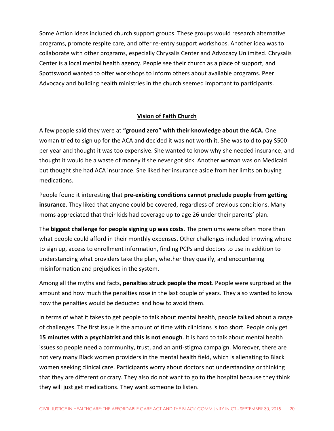Some Action Ideas included church support groups. These groups would research alternative programs, promote respite care, and offer re-entry support workshops. Another idea was to collaborate with other programs, especially Chrysalis Center and Advocacy Unlimited. Chrysalis Center is a local mental health agency. People see their church as a place of support, and Spottswood wanted to offer workshops to inform others about available programs. Peer Advocacy and building health ministries in the church seemed important to participants.

#### **Vision of Faith Church**

A few people said they were at **"ground zero" with their knowledge about the ACA.** One woman tried to sign up for the ACA and decided it was not worth it. She was told to pay \$500 per year and thought it was too expensive. She wanted to know why she needed insurance, and thought it would be a waste of money if she never got sick. Another woman was on Medicaid but thought she had ACA insurance. She liked her insurance aside from her limits on buying medications.

People found it interesting that **pre-existing conditions cannot preclude people from getting insurance**. They liked that anyone could be covered, regardless of previous conditions. Many moms appreciated that their kids had coverage up to age 26 under their parents' plan.

The **biggest challenge for people signing up was costs**. The premiums were often more than what people could afford in their monthly expenses. Other challenges included knowing where to sign up, access to enrollment information, finding PCPs and doctors to use in addition to understanding what providers take the plan, whether they qualify, and encountering misinformation and prejudices in the system.

Among all the myths and facts, **penalties struck people the most**. People were surprised at the amount and how much the penalties rose in the last couple of years. They also wanted to know how the penalties would be deducted and how to avoid them.

In terms of what it takes to get people to talk about mental health, people talked about a range of challenges. The first issue is the amount of time with clinicians is too short. People only get **15 minutes with a psychiatrist and this is not enough**. It is hard to talk about mental health issues so people need a community, trust, and an anti-stigma campaign. Moreover, there are not very many Black women providers in the mental health field, which is alienating to Black women seeking clinical care. Participants worry about doctors not understanding or thinking that they are different or crazy. They also do not want to go to the hospital because they think they will just get medications. They want someone to listen.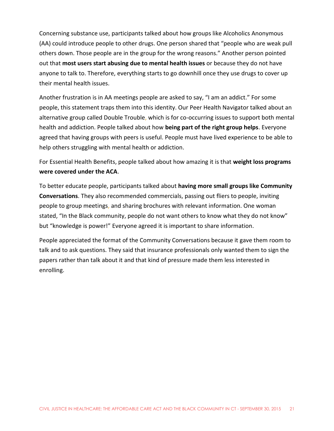Concerning substance use, participants talked about how groups like Alcoholics Anonymous (AA) could introduce people to other drugs. One person shared that "people who are weak pull others down. Those people are in the group for the wrong reasons." Another person pointed out that **most users start abusing due to mental health issues** or because they do not have anyone to talk to. Therefore, everything starts to go downhill once they use drugs to cover up their mental health issues.

Another frustration is in AA meetings people are asked to say, "I am an addict." For some people, this statement traps them into this identity. Our Peer Health Navigator talked about an alternative group called Double Trouble, which is for co-occurring issues to support both mental health and addiction. People talked about how **being part of the right group helps**. Everyone agreed that having groups with peers is useful. People must have lived experience to be able to help others struggling with mental health or addiction.

For Essential Health Benefits, people talked about how amazing it is that **weight loss programs were covered under the ACA**.

To better educate people, participants talked about **having more small groups like Community Conversations**. They also recommended commercials, passing out fliers to people, inviting people to group meetings, and sharing brochures with relevant information. One woman stated, "In the Black community, people do not want others to know what they do not know" but "knowledge is power!" Everyone agreed it is important to share information.

People appreciated the format of the Community Conversations because it gave them room to talk and to ask questions. They said that insurance professionals only wanted them to sign the papers rather than talk about it and that kind of pressure made them less interested in enrolling.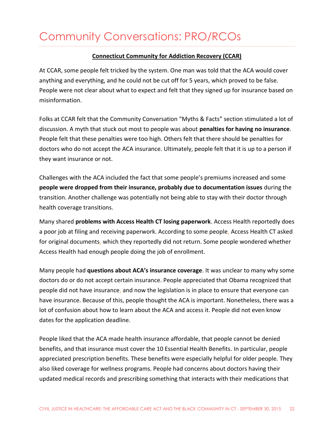### <span id="page-22-0"></span>Community Conversations: PRO/RCOs

#### **Connecticut Community for Addiction Recovery (CCAR)**

At CCAR, some people felt tricked by the system. One man was told that the ACA would cover anything and everything, and he could not be cut off for 5 years, which proved to be false. People were not clear about what to expect and felt that they signed up for insurance based on misinformation.

Folks at CCAR felt that the Community Conversation "Myths & Facts" section stimulated a lot of discussion. A myth that stuck out most to people was about **penalties for having no insurance**. People felt that these penalties were too high. Others felt that there should be penalties for doctors who do not accept the ACA insurance. Ultimately, people felt that it is up to a person if they want insurance or not.

Challenges with the ACA included the fact that some people's premiums increased and some **people were dropped from their insurance, probably due to documentation issues** during the transition. Another challenge was potentially not being able to stay with their doctor through health coverage transitions.

Many shared **problems with Access Health CT losing paperwork**. Access Health reportedly does a poor job at filing and receiving paperwork. According to some people, Access Health CT asked for original documents, which they reportedly did not return. Some people wondered whether Access Health had enough people doing the job of enrollment.

Many people had **questions about ACA's insurance coverage**. It was unclear to many why some doctors do or do not accept certain insurance. People appreciated that Obama recognized that people did not have insurance, and now the legislation is in place to ensure that everyone can have insurance. Because of this, people thought the ACA is important. Nonetheless, there was a lot of confusion about how to learn about the ACA and access it. People did not even know dates for the application deadline.

People liked that the ACA made health insurance affordable, that people cannot be denied benefits, and that insurance must cover the 10 Essential Health Benefits. In particular, people appreciated prescription benefits. These benefits were especially helpful for older people. They also liked coverage for wellness programs. People had concerns about doctors having their updated medical records and prescribing something that interacts with their medications that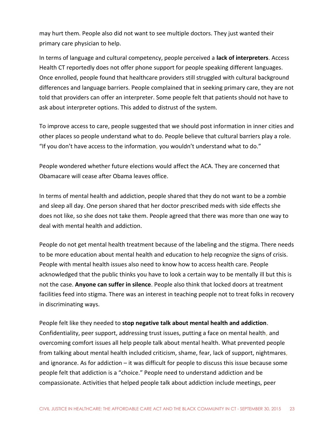may hurt them. People also did not want to see multiple doctors. They just wanted their primary care physician to help.

In terms of language and cultural competency, people perceived a **lack of interpreters**. Access Health CT reportedly does not offer phone support for people speaking different languages. Once enrolled, people found that healthcare providers still struggled with cultural background differences and language barriers. People complained that in seeking primary care, they are not told that providers can offer an interpreter. Some people felt that patients should not have to ask about interpreter options. This added to distrust of the system.

To improve access to care, people suggested that we should post information in inner cities and other places so people understand what to do. People believe that cultural barriers play a role. "If you don't have access to the information, you wouldn't understand what to do."

People wondered whether future elections would affect the ACA. They are concerned that Obamacare will cease after Obama leaves office.

In terms of mental health and addiction, people shared that they do not want to be a zombie and sleep all day. One person shared that her doctor prescribed meds with side effects she does not like, so she does not take them. People agreed that there was more than one way to deal with mental health and addiction.

People do not get mental health treatment because of the labeling and the stigma. There needs to be more education about mental health and education to help recognize the signs of crisis. People with mental health issues also need to know how to access health care. People acknowledged that the public thinks you have to look a certain way to be mentally ill but this is not the case. **Anyone can suffer in silence**. People also think that locked doors at treatment facilities feed into stigma. There was an interest in teaching people not to treat folks in recovery in discriminating ways.

People felt like they needed to **stop negative talk about mental health and addiction**. Confidentiality, peer support, addressing trust issues, putting a face on mental health, and overcoming comfort issues all help people talk about mental health. What prevented people from talking about mental health included criticism, shame, fear, lack of support, nightmares, and ignorance. As for addiction – it was difficult for people to discuss this issue because some people felt that addiction is a "choice." People need to understand addiction and be compassionate. Activities that helped people talk about addiction include meetings, peer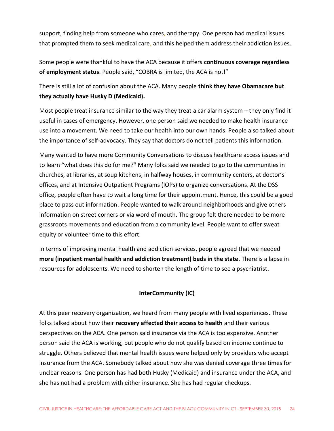support, finding help from someone who cares, and therapy. One person had medical issues that prompted them to seek medical care, and this helped them address their addiction issues.

Some people were thankful to have the ACA because it offers **continuous coverage regardless of employment status**. People said, "COBRA is limited, the ACA is not!"

There is still a lot of confusion about the ACA. Many people **think they have Obamacare but they actually have Husky D (Medicaid).**

Most people treat insurance similar to the way they treat a car alarm system – they only find it useful in cases of emergency. However, one person said we needed to make health insurance use into a movement. We need to take our health into our own hands. People also talked about the importance of self-advocacy. They say that doctors do not tell patients this information.

Many wanted to have more Community Conversations to discuss healthcare access issues and to learn "what does this do for me?" Many folks said we needed to go to the communities in churches, at libraries, at soup kitchens, in halfway houses, in community centers, at doctor's offices, and at Intensive Outpatient Programs (IOPs) to organize conversations. At the DSS office, people often have to wait a long time for their appointment. Hence, this could be a good place to pass out information. People wanted to walk around neighborhoods and give others information on street corners or via word of mouth. The group felt there needed to be more grassroots movements and education from a community level. People want to offer sweat equity or volunteer time to this effort.

In terms of improving mental health and addiction services, people agreed that we needed **more (inpatient mental health and addiction treatment) beds in the state**. There is a lapse in resources for adolescents. We need to shorten the length of time to see a psychiatrist.

#### **InterCommunity (IC)**

At this peer recovery organization, we heard from many people with lived experiences. These folks talked about how their **recovery affected their access to health** and their various perspectives on the ACA. One person said insurance via the ACA is too expensive. Another person said the ACA is working, but people who do not qualify based on income continue to struggle. Others believed that mental health issues were helped only by providers who accept insurance from the ACA. Somebody talked about how she was denied coverage three times for unclear reasons. One person has had both Husky (Medicaid) and insurance under the ACA, and she has not had a problem with either insurance. She has had regular checkups.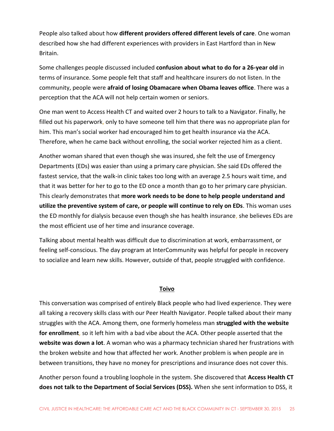People also talked about how **different providers offered different levels of care**. One woman described how she had different experiences with providers in East Hartford than in New Britain.

Some challenges people discussed included **confusion about what to do for a 26-year old** in terms of insurance. Some people felt that staff and healthcare insurers do not listen. In the community, people were **afraid of losing Obamacare when Obama leaves office**. There was a perception that the ACA will not help certain women or seniors.

One man went to Access Health CT and waited over 2 hours to talk to a Navigator. Finally, he filled out his paperwork, only to have someone tell him that there was no appropriate plan for him. This man's social worker had encouraged him to get health insurance via the ACA. Therefore, when he came back without enrolling, the social worker rejected him as a client.

Another woman shared that even though she was insured, she felt the use of Emergency Departments (EDs) was easier than using a primary care physician. She said EDs offered the fastest service, that the walk-in clinic takes too long with an average 2.5 hours wait time, and that it was better for her to go to the ED once a month than go to her primary care physician. This clearly demonstrates that **more work needs to be done to help people understand and utilize the preventive system of care, or people will continue to rely on EDs**. This woman uses the ED monthly for dialysis because even though she has health insurance, she believes EDs are the most efficient use of her time and insurance coverage.

Talking about mental health was difficult due to discrimination at work, embarrassment, or feeling self-conscious. The day program at InterCommunity was helpful for people in recovery to socialize and learn new skills. However, outside of that, people struggled with confidence.

#### **Toivo**

This conversation was comprised of entirely Black people who had lived experience. They were all taking a recovery skills class with our Peer Health Navigator. People talked about their many struggles with the ACA. Among them, one formerly homeless man **struggled with the website for enrollment**, so it left him with a bad vibe about the ACA. Other people asserted that the **website was down a lot**. A woman who was a pharmacy technician shared her frustrations with the broken website and how that affected her work. Another problem is when people are in between transitions, they have no money for prescriptions and insurance does not cover this.

Another person found a troubling loophole in the system. She discovered that **Access Health CT does not talk to the Department of Social Services (DSS).** When she sent information to DSS, it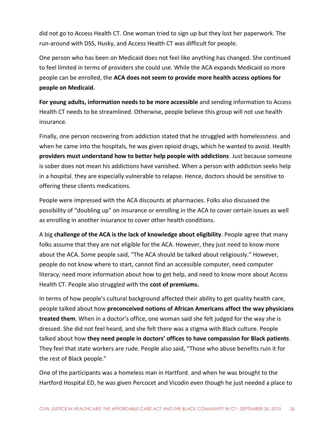did not go to Access Health CT. One woman tried to sign up but they lost her paperwork. The run-around with DSS, Husky, and Access Health CT was difficult for people.

One person who has been on Medicaid does not feel like anything has changed. She continued to feel limited in terms of providers she could use. While the ACA expands Medicaid so more people can be enrolled, the **ACA does not seem to provide more health access options for people on Medicaid.** 

**For young adults, information needs to be more accessible** and sending information to Access Health CT needs to be streamlined. Otherwise, people believe this group will not use health insurance.

Finally, one person recovering from addiction stated that he struggled with homelessness, and when he came into the hospitals, he was given opioid drugs, which he wanted to avoid. Health **providers must understand how to better help people with addictions**. Just because someone is sober does not mean his addictions have vanished. When a person with addiction seeks help in a hospital, they are especially vulnerable to relapse. Hence, doctors should be sensitive to offering these clients medications.

People were impressed with the ACA discounts at pharmacies. Folks also discussed the possibility of "doubling up" on insurance or enrolling in the ACA to cover certain issues as well as enrolling in another insurance to cover other health conditions.

A big **challenge of the ACA is the lack of knowledge about eligibility**. People agree that many folks assume that they are not eligible for the ACA. However, they just need to know more about the ACA. Some people said, "The ACA should be talked about religiously." However, people do not know where to start, cannot find an accessible computer, need computer literacy, need more information about how to get help, and need to know more about Access Health CT. People also struggled with the **cost of premiums.**

In terms of how people's cultural background affected their ability to get quality health care, people talked about how **preconceived notions of African Americans affect the way physicians treated them**. When in a doctor's office, one woman said she felt judged for the way she is dressed. She did not feel heard, and she felt there was a stigma with Black culture. People talked about how **they need people in doctors' offices to have compassion for Black patients**. They feel that state workers are rude. People also said, "Those who abuse benefits ruin it for the rest of Black people."

One of the participants was a homeless man in Hartford, and when he was brought to the Hartford Hospital ED, he was given Percocet and Vicodin even though he just needed a place to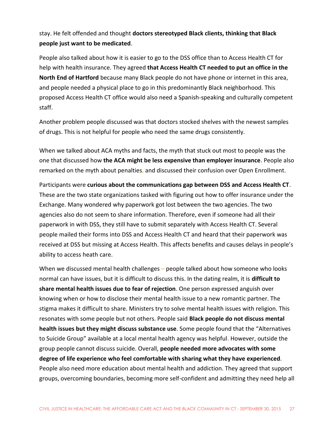#### stay. He felt offended and thought **doctors stereotyped Black clients, thinking that Black people just want to be medicated**.

People also talked about how it is easier to go to the DSS office than to Access Health CT for help with health insurance. They agreed **that Access Health CT needed to put an office in the North End of Hartford** because many Black people do not have phone or internet in this area, and people needed a physical place to go in this predominantly Black neighborhood. This proposed Access Health CT office would also need a Spanish-speaking and culturally competent staff.

Another problem people discussed was that doctors stocked shelves with the newest samples of drugs. This is not helpful for people who need the same drugs consistently.

When we talked about ACA myths and facts, the myth that stuck out most to people was the one that discussed how **the ACA might be less expensive than employer insurance**. People also remarked on the myth about penalties, and discussed their confusion over Open Enrollment.

Participants were **curious about the communications gap between DSS and Access Health CT**. These are the two state organizations tasked with figuring out how to offer insurance under the Exchange. Many wondered why paperwork got lost between the two agencies. The two agencies also do not seem to share information. Therefore, even if someone had all their paperwork in with DSS, they still have to submit separately with Access Health CT. Several people mailed their forms into DSS and Access Health CT and heard that their paperwork was received at DSS but missing at Access Health. This affects benefits and causes delays in people's ability to access heath care.

When we discussed mental health challenges – people talked about how someone who looks normal can have issues, but it is difficult to discuss this. In the dating realm, it is **difficult to share mental health issues due to fear of rejection**. One person expressed anguish over knowing when or how to disclose their mental health issue to a new romantic partner. The stigma makes it difficult to share. Ministers try to solve mental health issues with religion. This resonates with some people but not others. People said **Black people do not discuss mental health issues but they might discuss substance use**. Some people found that the "Alternatives to Suicide Group" available at a local mental health agency was helpful. However, outside the group people cannot discuss suicide. Overall, **people needed more advocates with some degree of life experience who feel comfortable with sharing what they have experienced**. People also need more education about mental health and addiction. They agreed that support groups, overcoming boundaries, becoming more self-confident and admitting they need help all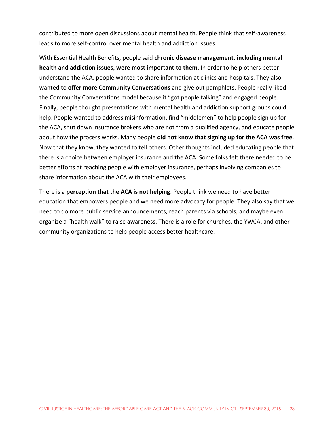contributed to more open discussions about mental health. People think that self-awareness leads to more self-control over mental health and addiction issues.

With Essential Health Benefits, people said **chronic disease management, including mental health and addiction issues, were most important to them**. In order to help others better understand the ACA, people wanted to share information at clinics and hospitals. They also wanted to **offer more Community Conversations** and give out pamphlets. People really liked the Community Conversations model because it "got people talking" and engaged people. Finally, people thought presentations with mental health and addiction support groups could help. People wanted to address misinformation, find "middlemen" to help people sign up for the ACA, shut down insurance brokers who are not from a qualified agency, and educate people about how the process works. Many people **did not know that signing up for the ACA was free**. Now that they know, they wanted to tell others. Other thoughts included educating people that there is a choice between employer insurance and the ACA. Some folks felt there needed to be better efforts at reaching people with employer insurance, perhaps involving companies to share information about the ACA with their employees.

There is a **perception that the ACA is not helping**. People think we need to have better education that empowers people and we need more advocacy for people. They also say that we need to do more public service announcements, reach parents via schools, and maybe even organize a "health walk" to raise awareness. There is a role for churches, the YWCA, and other community organizations to help people access better healthcare.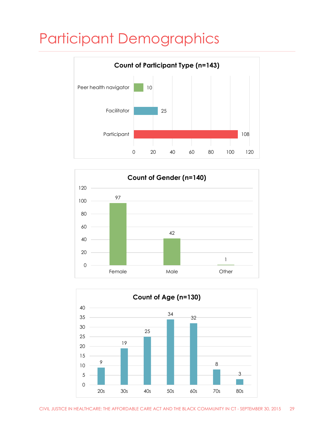## <span id="page-29-0"></span>Participant Demographics





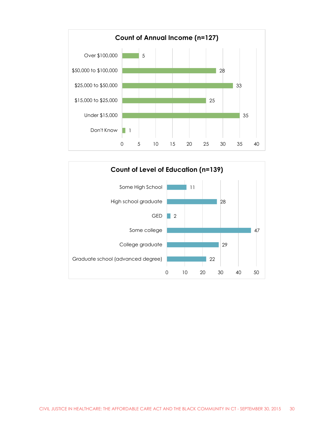

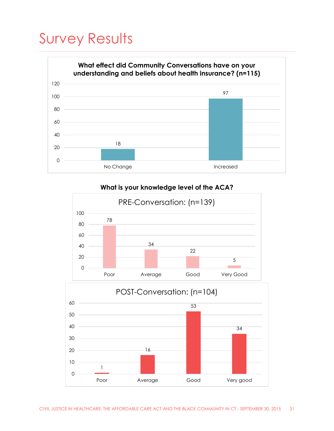## <span id="page-31-0"></span>Survey Results



#### **What is your knowledge level of the ACA?**



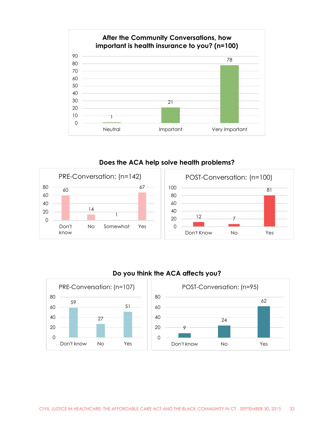

**Does the ACA help solve health problems?**





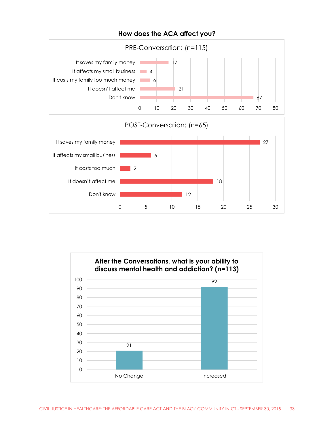

#### **How does the ACA affect you?**

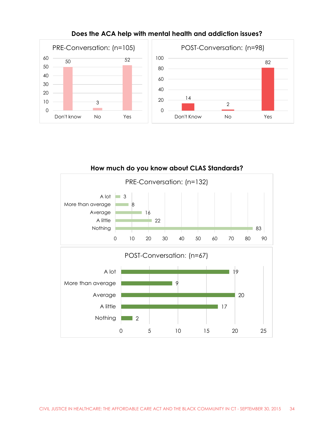

#### **Does the ACA help with mental health and addiction issues?**

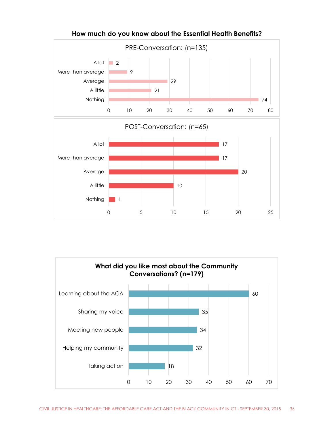



**How much do you know about the Essential Health Benefits?**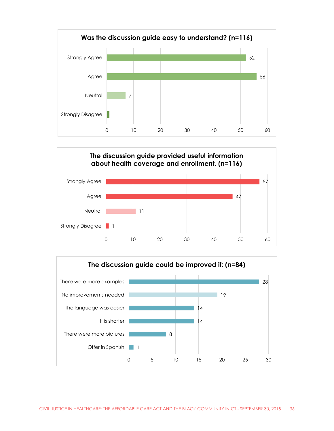